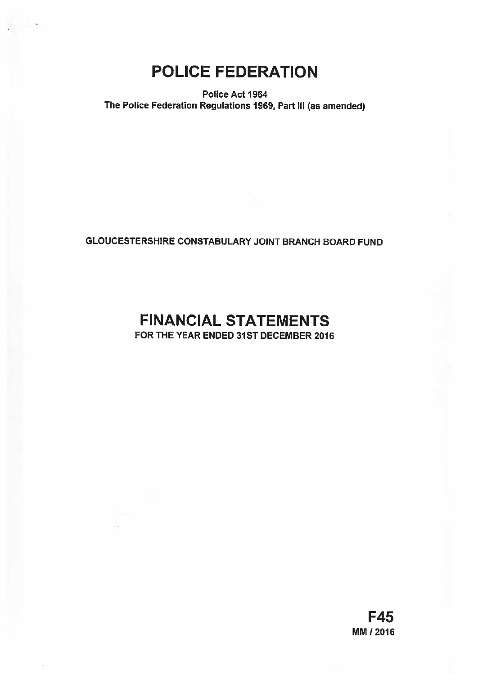# POLICE FEDERATION

Police Act 1964 The Police Federation Regulations 1969, Part Ill (as amended)

# GLOUCESTERSHIRE CONSTABULARY JOINT BRANCH BOARD FUND

# FINANCIAL STATEMENTS FOR THE YEAR ENDED 31ST DECEMBER 2016

F45 MM / 2016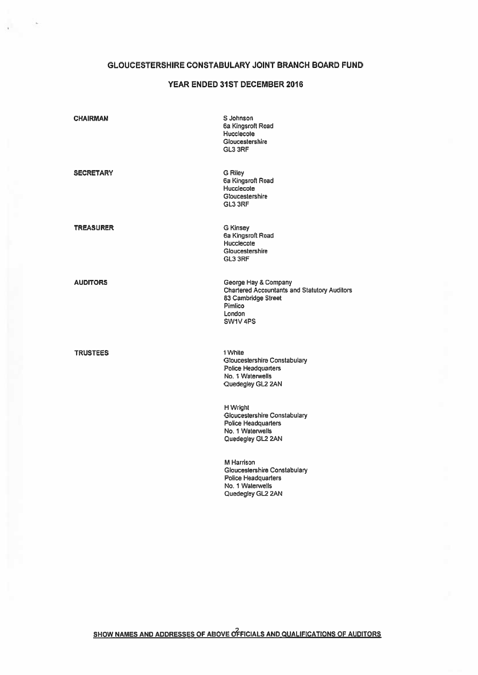# GLOUCESTERSHIRE CONSTABULARY JOINT BRANCH BOARD FUND

# YEAR ENDED 31ST DECEMBER 2016

| <b>CHAIRMAN</b>  | S Johnson<br>6a Kingsroft Road<br>Hucclecote<br>Gloucestershire<br>GL3 3RF                                                          |
|------------------|-------------------------------------------------------------------------------------------------------------------------------------|
| <b>SECRETARY</b> | <b>G Riley</b><br>6a Kingsroft Road<br>Hucclecote<br>Gloucestershire<br>GL3 3RF                                                     |
| <b>TREASURER</b> | <b>G Kinsey</b><br>6a Kingsroft Road<br>Hucclecote<br>Gloucestershire<br>GL3 3RF                                                    |
| <b>AUDITORS</b>  | George Hay & Company<br><b>Chartered Accountants and Statutory Auditors</b><br>83 Cambridge Street<br>Pimlico<br>London<br>SW1V 4PS |
| <b>TRUSTEES</b>  | 1 White<br><b>Gloucestershire Constabulary</b><br><b>Police Headquarters</b><br>No. 1 Waterwells<br>Quedegley GL2 2AN               |
|                  | H Wright<br>Gloucestershire Constabulary<br><b>Police Headquarters</b><br>No. 1 Waterwells<br>Quedegley GL2 2AN                     |
|                  | M Harrison<br>Gloucestershire Constabulary<br><b>Police Headquarters</b><br>No. 1 Waterwells<br>Quedegley GL2 2AN                   |
|                  |                                                                                                                                     |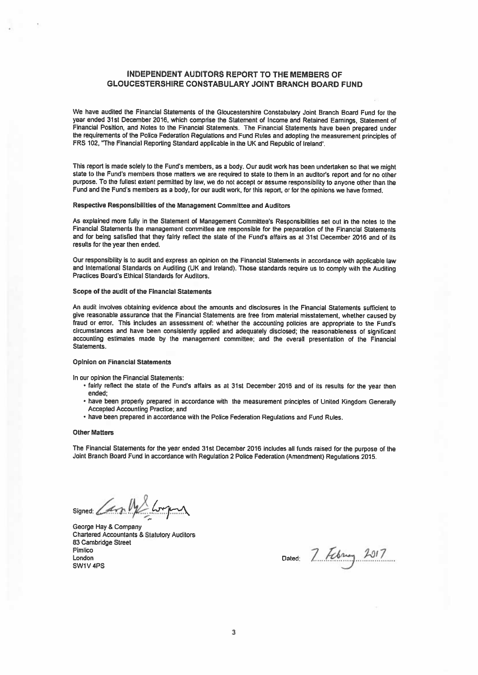## INDEPENDENT AUDITORS REPORT TO THE MEMBERS OF GLOUCESTERSHIRE CONSTABULARY JOINT BRANCH BOARD FUND

We have audited the Financial Statements of the Gloucestershire Constabulary Joint Branch Board Fund for the year ended 31st December 2016, which comprise the Statement of Income and Retained Earnings, Statement of Financial Position, and Notes to the Financial Statements. The Financial Statements have been prepare<sup>d</sup> under the requirements of the Police Federation Regulations and Fund Rules and adopting the measurement principles of FRS 102, "The Financial Reporting Standard applicable in the UK and Republic of Ireland'.

This repor<sup>t</sup> is made solely to the Fund's members, as <sup>a</sup> body. Our audit work has been undertaken so that we might state to the Fund's members those matters we are required to state to them in an auditor's repor<sup>t</sup> and for no other purpose. To the fullest extent permitted by law, we do not accep<sup>t</sup> or assume responsibility to anyone other than the Fund and the Fund's members as <sup>a</sup> body, for our audit work, for this report, or for the opinions we have formed.

## Respective Responsibilities of the Management Committee and Auditors

As explained more fully in the Statement of Management Committee's Responsibilities set out in the notes to the Financial Statements the managemen<sup>t</sup> committee are responsible for the preparation of the Financial Statements and for being satisfied that they fairly reflect the state of the Fund's affairs as at 31st December 2016 and of its results for the year then ended.

Our responsibility is to audit and express an opinion on the Financial Statements in accordance with applicable law and International Standards on Auditing (UK and Ireland). Those standards require us to comply with the Auditing Practices Board's Ethical Standards for Auditors,

#### Scope of the audit of the Financial Statements

An audit involves obtaining evidence about the amounts and disclosures in the Financial Statements sufficient to <sup>g</sup>ive reasonable assurance that the Financial Statements are free from material misstatement, whether caused by fraud or error. This includes an assessment of: whether the accounting policies are appropriate to the Fund's circumstances and have been consistently applied and adequately disclosed; the reasonableness of significant accounting estimates made by the managemen<sup>t</sup> committee; and the overall presentation of the Financial Statements.

### Opinion on Financial Statements

In our opinion the Financial Statements:

- fairly reflect the state of the Fund's affairs as at 31st December <sup>2016</sup> and of its resutts for the year then ended;
- have been properly prepare<sup>d</sup> in accordance with the measurement principles of United Kingdom Generatly Accepted Accounting Practice; and
- have been prepared in accordance with the Police Federation Regulations and Fund Rules.

#### Other Matters

The Financial Statements for the year ended 31st December <sup>2016</sup> includes all funds raised for the purpose of the Joint Branch Board Fund in accordance with Regulation <sup>2</sup> Police Federation (Amendment) Regulations 2015.

signed: Carp My Longing

George Hay & Company Chartered Accountants & Statutory Auditors 83 Cambridge Street Pimlico Pimlico<br>London Dated:  $7760u$ ,  $2917$ SW1V 4PS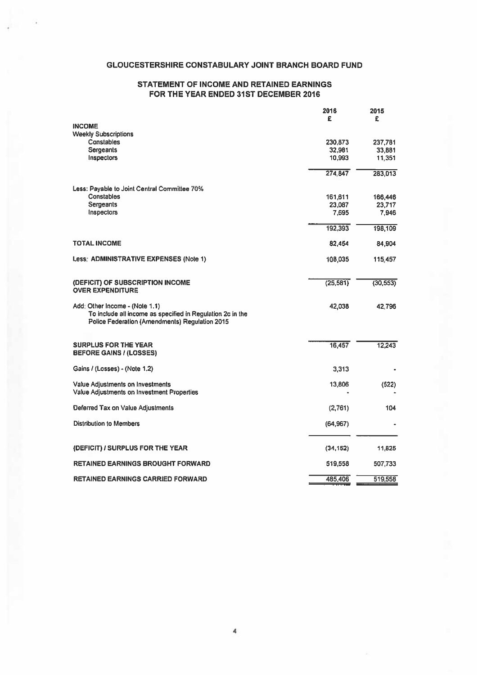# GLOUCESTERSHIRE CONSTABULARY JOINT BRANCH BOARD FUND

# STATEMENT OF INCOME AND RETAINED EARNINGS FOR THE YEAR ENDED 31ST DECEMBER 2016

|                                                                                                                                                | 2016<br>£ | 2015<br>£ |
|------------------------------------------------------------------------------------------------------------------------------------------------|-----------|-----------|
| <b>INCOME</b>                                                                                                                                  |           |           |
| <b>Weekly Subscriptions</b>                                                                                                                    |           |           |
| Constables                                                                                                                                     | 230,873   | 237,781   |
| <b>Sergeants</b>                                                                                                                               | 32,981    | 33,881    |
| Inspectors                                                                                                                                     | 10,993    | 11,351    |
|                                                                                                                                                | 274,847   | 283,013   |
| Less: Payable to Joint Central Committee 70%                                                                                                   |           |           |
| Constables                                                                                                                                     | 161,611   | 166,446   |
| <b>Sergeants</b>                                                                                                                               | 23,087    | 23,717    |
| Inspectors                                                                                                                                     | 7,695     | 7.946     |
|                                                                                                                                                | 192,393   | 198,109   |
| <b>TOTAL INCOME</b>                                                                                                                            | 82,454    | 84,904    |
| Less: ADMINISTRATIVE EXPENSES (Note 1)                                                                                                         | 108,035   | 115,457   |
| (DEFICIT) OF SUBSCRIPTION INCOME<br><b>OVER EXPENDITURE</b>                                                                                    | (25, 581) | (30, 553) |
|                                                                                                                                                |           |           |
| Add: Other Income - (Note 1.1)<br>To include all income as specified in Regulation 2c in the<br>Police Federation (Amendments) Regulation 2015 | 42.038    | 42.796    |
| <b>SURPLUS FOR THE YEAR</b>                                                                                                                    | 16,457    | 12,243    |
| <b>BEFORE GAINS / (LOSSES)</b>                                                                                                                 |           |           |
| Gains / (Losses) - (Note 1.2)                                                                                                                  | 3,313     |           |
| Value Adjustments on Investments                                                                                                               | 13,806    | (522)     |
| Value Adjustments on Investment Properties                                                                                                     |           |           |
| Deferred Tax on Value Adjustments                                                                                                              | (2,761)   | 104       |
| <b>Distribution to Members</b>                                                                                                                 | (64, 967) |           |
| (DEFICIT) / SURPLUS FOR THE YEAR                                                                                                               | (34, 152) | 11,825    |
| RETAINED EARNINGS BROUGHT FORWARD                                                                                                              | 519,558   | 507,733   |
| RETAINED EARNINGS CARRIED FORWARD                                                                                                              | 485,406   | 519,558   |
|                                                                                                                                                |           |           |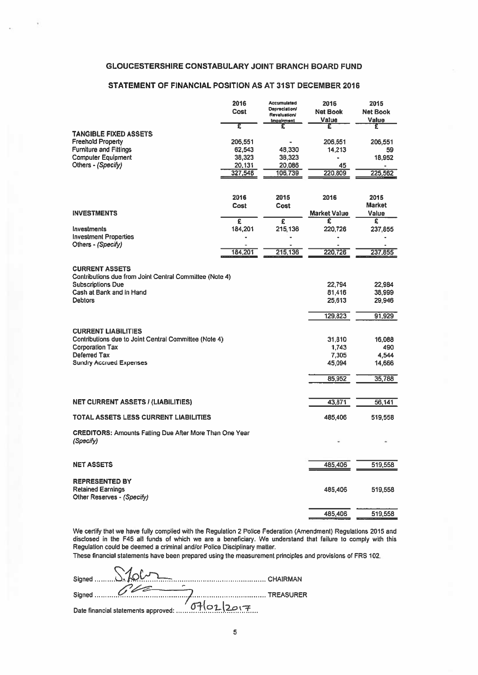# GLOUCESTERSHIRE CONSTABULARY JOINT BRANCH BOARD FUND

# STATEMENT OF FINANCIAL POSITION AS AT 31ST DECEMBER 2016

| <b>GLOUCESTERSHIRE CONSTABULARY JOINT BRANCH BOARD FUND</b>                         |                  |                                             |                |                        |
|-------------------------------------------------------------------------------------|------------------|---------------------------------------------|----------------|------------------------|
| STATEMENT OF FINANCIAL POSITION AS AT 31ST DECEMBER 2016                            |                  |                                             |                |                        |
|                                                                                     | 2016             | Accumulated                                 | 2016           | 2015                   |
|                                                                                     | Cost             | <b>Depreciation/</b><br><b>Revaluation/</b> | Net Book       | <b>Net Book</b>        |
|                                                                                     | £                | <b>Impairment</b><br>£                      | Value<br>£     | Value<br>£             |
| <b>TANGIBLE FIXED ASSETS</b><br><b>Freehold Property</b>                            | 206,551          |                                             | 206,551        | 206,551                |
| <b>Furniture and Fittings</b>                                                       | 62,543           | 48,330                                      | 14,213         | 59                     |
| <b>Computer Equipment</b><br>Others - (Specify)                                     | 38,323<br>20,131 | 38,323<br>20,086                            | 45             | 18,952                 |
|                                                                                     | 327,548          | 106,739                                     | 220,809        | 225,562                |
|                                                                                     |                  |                                             |                |                        |
|                                                                                     | 2016             | 2015                                        | 2016           | 2015                   |
| <b>INVESTMENTS</b>                                                                  | Cost             | Cost                                        | Market Value   | <b>Market</b><br>Value |
|                                                                                     | £                | £                                           | £              | £                      |
| Investments<br><b>Investment Properties</b>                                         | 184,201          | 215.136                                     | 220,726        | 237,855                |
| Others - (Specify)                                                                  |                  |                                             |                |                        |
|                                                                                     | 184,201          | 215,136                                     | 220,726        | 237,855                |
| <b>CURRENT ASSETS</b>                                                               |                  |                                             |                |                        |
| Contributions due from Joint Central Committee (Note 4)<br><b>Subscriptions Due</b> |                  |                                             | 22,794         | 22,984                 |
| Cash at Bank and in Hand                                                            |                  |                                             | 81,416         | 38,999                 |
| <b>Debtors</b>                                                                      |                  |                                             | 25,613         | 29,946                 |
|                                                                                     |                  |                                             | 129,823        | 91,929                 |
| <b>CURRENT LIABILITIES</b>                                                          |                  |                                             |                |                        |
| Contributions due to Joint Central Committee (Note 4)                               |                  |                                             | 31,810         | 16,088                 |
| <b>Corporation Tax</b><br>Deferred Tax                                              |                  |                                             | 1,743<br>7,305 | 490<br>4,544           |
| <b>Sundry Accrued Expenses</b>                                                      |                  |                                             | 45,094         | 14,666                 |
|                                                                                     |                  |                                             | 85,952         | 35,788                 |
|                                                                                     |                  |                                             |                |                        |
| <b>NET CURRENT ASSETS / (LIABILITIES)</b>                                           |                  |                                             | 43,871         | 56,141                 |
| TOTAL ASSETS LESS CURRENT LIABILITIES                                               |                  |                                             | 485,406        | 519,558                |
| <b>CREDITORS: Amounts Falling Due After More Than One Year</b><br>(Specify)         |                  |                                             |                |                        |
|                                                                                     |                  |                                             |                |                        |
| <b>NET ASSETS</b>                                                                   |                  |                                             | 485,406        | 519,558                |
| <b>REPRESENTED BY</b>                                                               |                  |                                             |                |                        |
| <b>Retained Earnings</b>                                                            |                  |                                             | 485,406        | 519,558                |
| Other Reserves - (Specify)                                                          |                  |                                             |                |                        |
|                                                                                     |                  |                                             | 485,406        | 519,558                |

We certify that we have fully complied with the Regulation 2 Police Federation (Amendment) Regulations 2015 and disclosed in the F45 all funds of which we are <sup>a</sup> beneficiary. We understand that failure to comply with this Regulation could be deemed <sup>a</sup> criminal and/or Police Disciplinary matter.

These financial statements have been prepared using the measurement principles and provisions of FRS 102.

| Date financial statements approved: 07(01/2017 |  |
|------------------------------------------------|--|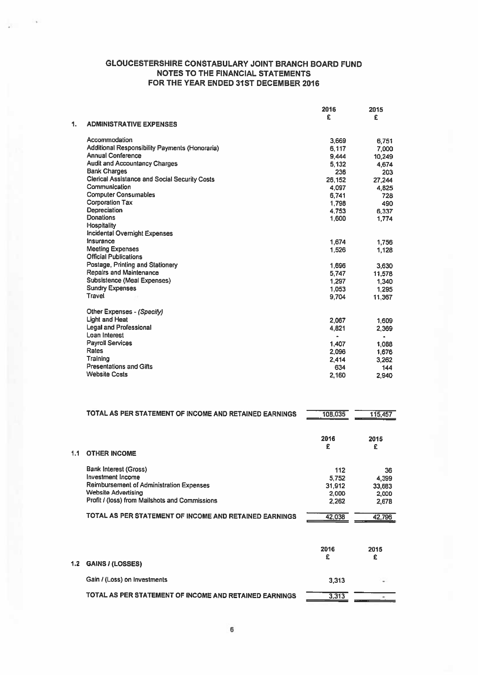|    |                                                      | 2016<br>£            | 2015<br>£      |
|----|------------------------------------------------------|----------------------|----------------|
| 1. | <b>ADMINISTRATIVE EXPENSES</b>                       |                      |                |
|    | Accommodation                                        | 3,669                | 6.751          |
|    | Additional Responsibility Payments (Honoraria)       | 6.117                | 7,000          |
|    | <b>Annual Conference</b>                             | 9,444                | 10.249         |
|    | <b>Audit and Accountancy Charges</b>                 | 5.132                | 4,674          |
|    | <b>Bank Charges</b>                                  | 236                  | 203            |
|    | <b>Clerical Assistance and Social Security Costs</b> | 26,152               | 27,244         |
|    | Communication                                        | 4,097                | 4,825          |
|    | <b>Computer Consumables</b>                          | 6,741                | 728            |
|    | <b>Corporation Tax</b>                               | 1,798                | 490            |
|    | Depreciation                                         | 4,753                | 6,337          |
|    | <b>Donations</b>                                     | 1,600                | 1,774          |
|    | Hospitality                                          |                      |                |
|    | <b>Incidental Overnight Expenses</b>                 |                      |                |
|    | Insurance                                            | 1.674                | 1,756          |
|    | <b>Meeting Expenses</b>                              | 1,526                | 1.128          |
|    | <b>Official Publications</b>                         |                      |                |
|    | Postage, Printing and Stationery                     | 1,696                | 3,630          |
|    | <b>Repairs and Maintenance</b>                       | 5,747                | 11,578         |
|    | <b>Subsistence (Meal Expenses)</b>                   | 1,297                | 1,340          |
|    | <b>Sundry Expenses</b>                               | 1.053                | 1.295          |
|    | <b>Travel</b>                                        | 9,704                | 11,367         |
|    | Other Expenses - (Specify)                           |                      |                |
|    | Light and Heat                                       | 2.067                | 1,609          |
|    | <b>Legal and Professional</b>                        | 4.821                | 2,369          |
|    | Loan Interest                                        | $\ddot{\phantom{1}}$ | $\blacksquare$ |
|    | <b>Payroll Services</b>                              | 1,407                | 1,088          |
|    | Rates                                                | 2,096                | 1,676          |
|    | Training                                             | 2,414                | 3,262          |
|    | <b>Presentations and Gifts</b>                       | 634                  | 144            |
|    | <b>Website Costs</b>                                 | 2,160                | 2,940          |
|    |                                                      |                      |                |

|     | TOTAL AS PER STATEMENT OF INCOME AND RETAINED EARNINGS                                                                                                                               | 108.035                                  | 115,457                                 |
|-----|--------------------------------------------------------------------------------------------------------------------------------------------------------------------------------------|------------------------------------------|-----------------------------------------|
| ۱.۱ | <b>OTHER INCOME</b>                                                                                                                                                                  | 2016<br>£                                | 2015<br>£                               |
|     | <b>Bank Interest (Gross)</b><br><b>Investment Income</b><br>Reimbursement of Administration Expenses<br><b>Website Advertising</b><br>Profit / (loss) from Mailshots and Commissions | 112<br>5,752<br>31,912<br>2,000<br>2.262 | 36<br>4.399<br>33,683<br>2,000<br>2.678 |
|     | TOTAL AS PER STATEMENT OF INCOME AND RETAINED EARNINGS                                                                                                                               | 42.038                                   | 42.796                                  |

| 1.2 GAINS / (LOSSES)                                   | 2016  | 2015<br>£      |
|--------------------------------------------------------|-------|----------------|
| Gain / (Loss) on Investments                           | 3.313 | $\overline{a}$ |
| TOTAL AS PER STATEMENT OF INCOME AND RETAINED EARNINGS | 3,313 |                |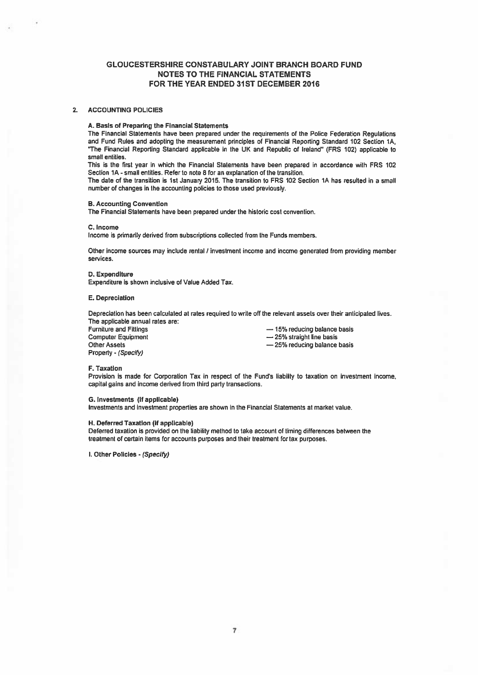## 2. ACCOUNTING POLICIES

#### A. Basis of Preparing the Financial Statements

The Financial Statements have been prepared under the requirements of the Police Federation Regulations and Fund Rules and adopting the measurement principles of Financial Reporting Standard 102 Section 1A, 'The Financial Reporting Standard applicable in the UK and Republic of Ireland" (FRS 102) applicable to small entities.

This is the first year in which the Financial Statements have been prepared in accordance with FRS 102 Section 1A - small entities. Refer to note 8 for an explanation of the transition.

The dale of the transition is 1st January 2015. The transition to FRS 102 Section 1A has resulted in <sup>a</sup> small number of changes in the accounting policies to those used previously.

#### B. Accounting Convention

The Financial Statements have been prepared under the historic cost convention.

#### C. Income

Income is primarily derived from subscriptions collected from the Funds members.

Other income sources may include rental / investment income and income generated from providing member services.

#### D. Expenditure

Expenditure is shown inclusive of Value Added Tax.

## E. Depreciation

Depreciation has been calculated at rates required to write off the relevant assets over their anticipated lives. The applicable annual rates are:<br>Furniture and Fittings

Furniture and Fittings — 15% reducing balance basis Computer Equipment<br>
Computer Equipment<br>
Cher Assets<br>  $-25%$  reducing balance Property - (Specify)

- 25% reducing balance basis

#### F. Taxation

Provision is made for Corporation Tax in respect of the Fund's liability to taxation on investment income. capital gains and income derived from third party transactions.

## G. Investments (if applicable)

Investments and investment properties are shown in the Financial Statements at market value.

#### H. Deferred Taxation (if applicable)

Deferred taxation is provided on the liability method to take account of timing differences between the treatment of certain items for accounts purposes and their treatment for tax purposes.

I. Other Policies - (Specify)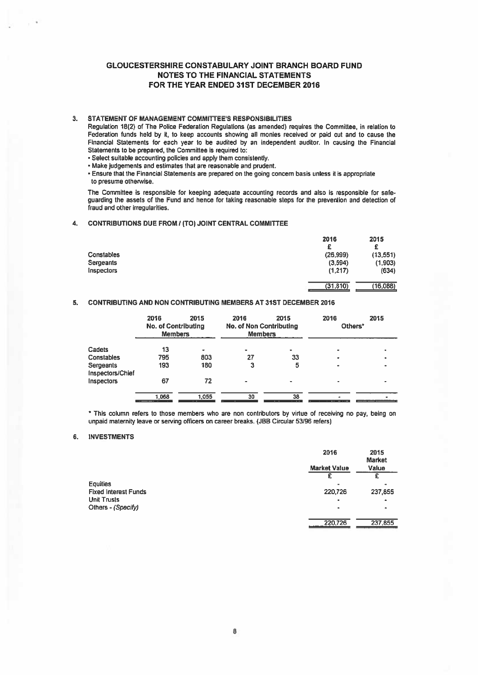## 3. STATEMENT OF MANAGEMENT COMMITTEE'S RESPONSIBILITIES

Regulation 18(2) of The Police Federation Regulations (as amended) requires the Committee, in relation to Federation funds held by it, to keep accounts showing all monies received or paid out and to cause the Financial Statements for each year to be audited by an independent auditor. In causing the Financial Statements to be prepared, the Committee is required to:

• Select suitable accounting policies and apply them consistently.

• Make judgements and estimates that are reasonable and prudent.

• Ensure that the Financial Statements are prepared on the going concern basis unless it is appropriate to presume otherwise.

The Committee is responsible for keeping adequate accounting records and also is responsible for safe guarding the assets of the Fund and hence for taking reasonable steps for the prevention and detection of fraud and other irregularities.

## 4. CONTRIBUTIONS DUE FROM? (TO) JOINT CENTRAL COMMITTEE

|                   | 2016      | 2015      |
|-------------------|-----------|-----------|
|                   | с         | £         |
| <b>Constables</b> | (26, 999) | (13, 551) |
| Sergeants         | (3,594)   | (1,903)   |
| <b>Inspectors</b> | (1,217)   | (634)     |
|                   | (31, 810) | (16,088)  |

## 5. CONTRIBUTING AND NON CONTRIBUTING MEMBERS AT 31ST DECEMBER 2016

|                               | 2016<br><b>No. of Contributing</b><br><b>Members</b> | 2015  | 2016<br><b>No. of Non Contributing</b><br><b>Members</b> | 2015 | 2016<br>Others*          | 2015      |
|-------------------------------|------------------------------------------------------|-------|----------------------------------------------------------|------|--------------------------|-----------|
| Cadets                        | 13                                                   |       | $\blacksquare$                                           |      |                          |           |
| Constables                    | 795                                                  | 803   | 27                                                       | 33   | ۰                        |           |
| Sergeants<br>Inspectors/Chief | 193                                                  | 180   | 3                                                        | 5    | $\overline{\phantom{a}}$ | $\bullet$ |
| Inspectors                    | 67                                                   | 72    |                                                          |      |                          |           |
|                               | 1,068                                                | 1.055 | 30                                                       | 38   |                          |           |

This column refers to those members who are non contributors by virtue of receiving no pay, being on unpaid maternity leave or serving officers on career breaks. (JBB Circular 53196 refers)

## 6. INVESTMENTS

|                             | 2016                | 2015<br><b>Market</b> |
|-----------------------------|---------------------|-----------------------|
|                             | <b>Market Value</b> | Value                 |
|                             |                     |                       |
| <b>Equities</b>             |                     |                       |
| <b>Fixed Interest Funds</b> | 220,726             | 237,855               |
| <b>Unit Trusts</b>          | ۰                   |                       |
| Others - (Specify)          | $\blacksquare$      |                       |
|                             | 220,726             | 237,855               |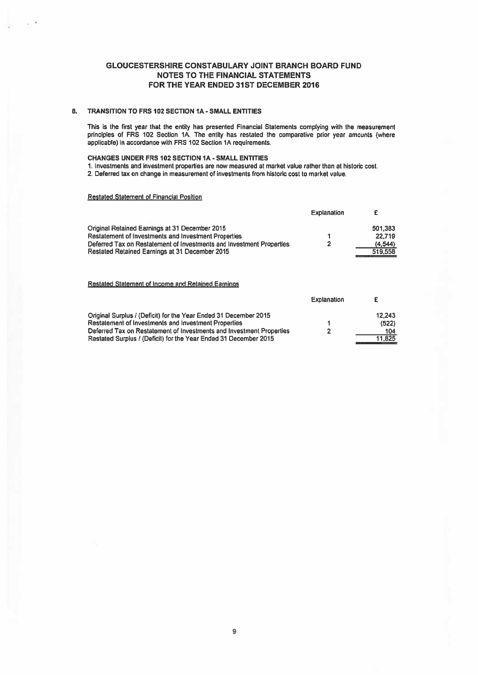## 8. TRANSITION TO FRS 102 SECTION 1A - SMALL ENTITIES

This is the first year that the entity has presented Financial Statements complying with the measurement principles of FRS 102 Section IA. The entity has restated the comparative prior year amounts (where applicable) in accordance with FRS 102 Section 1A requirements.

## CHANGES UNDER FRS 102 SECTION IA -SMALL ENTITIES

1. Investments and investment properties are now measured at market value rather than at historic cost.

2. Deferred tax on change in measurement of investments from historic cost to market value.

## Restated Statement of Financial Position

|                                                                      | <b>Explanation</b> |         |
|----------------------------------------------------------------------|--------------------|---------|
| Original Retained Earnings at 31 December 2015                       |                    | 501,383 |
| Restatement of Investments and Investment Properties                 |                    | 22.719  |
| Deferred Tax on Restatement of Investments and Investment Properties |                    | (4.544) |
| Restated Retained Earnings at 31 December 2015                       |                    | 519.558 |

## Restated Statement of Income and Retained Earnings

|                                                                      | <b>Explanation</b> |        |
|----------------------------------------------------------------------|--------------------|--------|
| Original Surplus / (Deficit) for the Year Ended 31 December 2015     |                    | 12.243 |
| Restatement of Investments and Investment Properties                 |                    | (522)  |
| Deferred Tax on Restatement of Investments and Investment Properties | 2                  | 104    |
| Restated Surplus / (Deficit) for the Year Ended 31 December 2015     |                    | 11.825 |